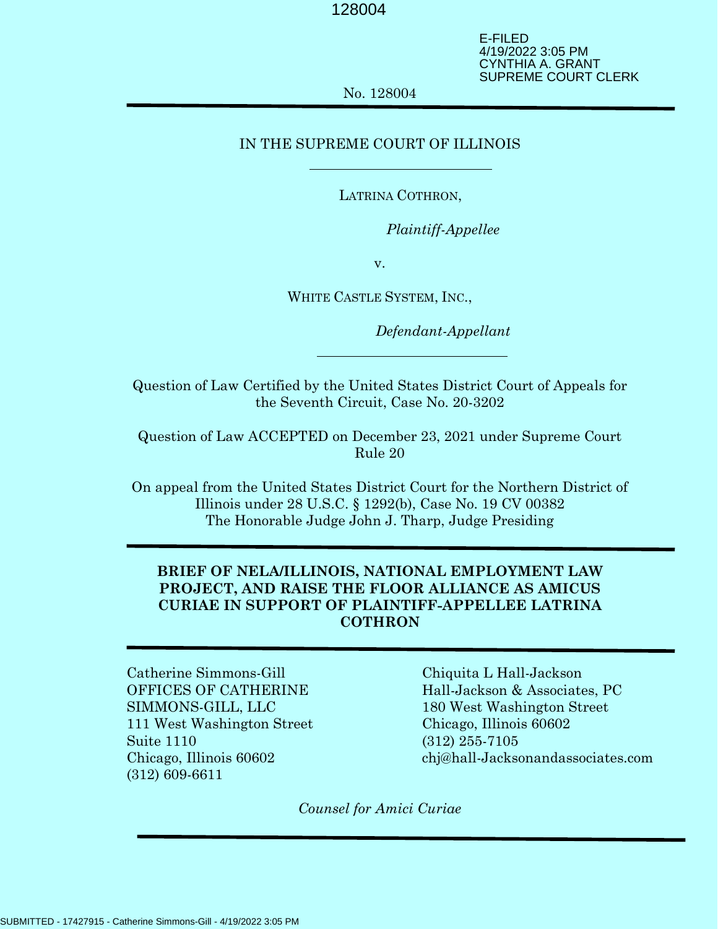E-FILED 4/19/2022 3:05 PM CYNTHIA A. GRANT SUPREME COURT CLERK

No. 128004

#### IN THE SUPREME COURT OF ILLINOIS

LATRINA COTHRON,

*Plaintiff-Appellee*

v.

WHITE CASTLE SYSTEM, INC.,

*Defendant-Appellant*

Question of Law Certified by the United States District Court of Appeals for the Seventh Circuit, Case No. 20-3202

Question of Law ACCEPTED on December 23, 2021 under Supreme Court Rule 20

On appeal from the United States District Court for the Northern District of Illinois under 28 U.S.C. § 1292(b), Case No. 19 CV 00382 The Honorable Judge John J. Tharp, Judge Presiding

# **BRIEF OF NELA/ILLINOIS, NATIONAL EMPLOYMENT LAW PROJECT, AND RAISE THE FLOOR ALLIANCE AS AMICUS CURIAE IN SUPPORT OF PLAINTIFF-APPELLEE LATRINA COTHRON**

Catherine Simmons-Gill Chiquita L Hall-Jackson 111 West Washington Street Chicago, Illinois 60602 Suite 1110 (312) 255-7105 (312) 609-6611

OFFICES OF CATHERINE Hall-Jackson & Associates, PC SIMMONS-GILL, LLC 180 West Washington Street Chicago, Illinois 60602 chj@hall-Jacksonandassociates.com

*Counsel for Amici Curiae*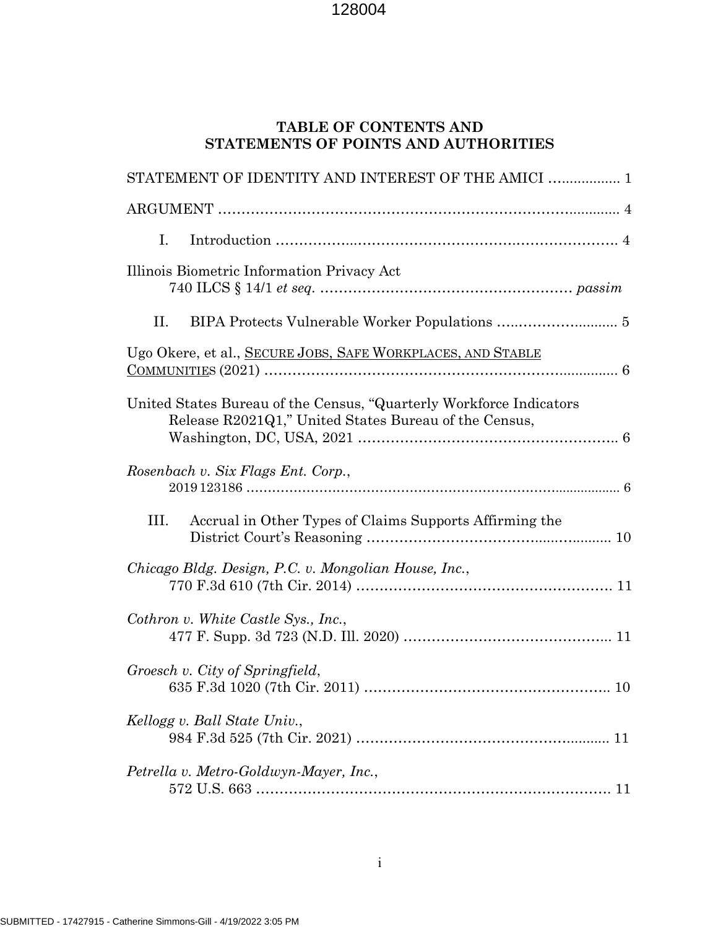# **TABLE OF CONTENTS AND STATEMENTS OF POINTS AND AUTHORITIES**

| STATEMENT OF IDENTITY AND INTEREST OF THE AMICI  1                                                                            |
|-------------------------------------------------------------------------------------------------------------------------------|
|                                                                                                                               |
| Ι.                                                                                                                            |
| Illinois Biometric Information Privacy Act                                                                                    |
| П.                                                                                                                            |
| Ugo Okere, et al., SECURE JOBS, SAFE WORKPLACES, AND STABLE                                                                   |
| United States Bureau of the Census, "Quarterly Workforce Indicators"<br>Release R2021Q1," United States Bureau of the Census, |
| Rosenbach v. Six Flags Ent. Corp.,                                                                                            |
| III.<br>Accrual in Other Types of Claims Supports Affirming the                                                               |
| Chicago Bldg. Design, P.C. v. Mongolian House, Inc.,                                                                          |
| Cothron v. White Castle Sys., Inc.,                                                                                           |
| Groesch v. City of Springfield,                                                                                               |
| Kellogg v. Ball State Univ.,                                                                                                  |
| Petrella v. Metro-Goldwyn-Mayer, Inc.,                                                                                        |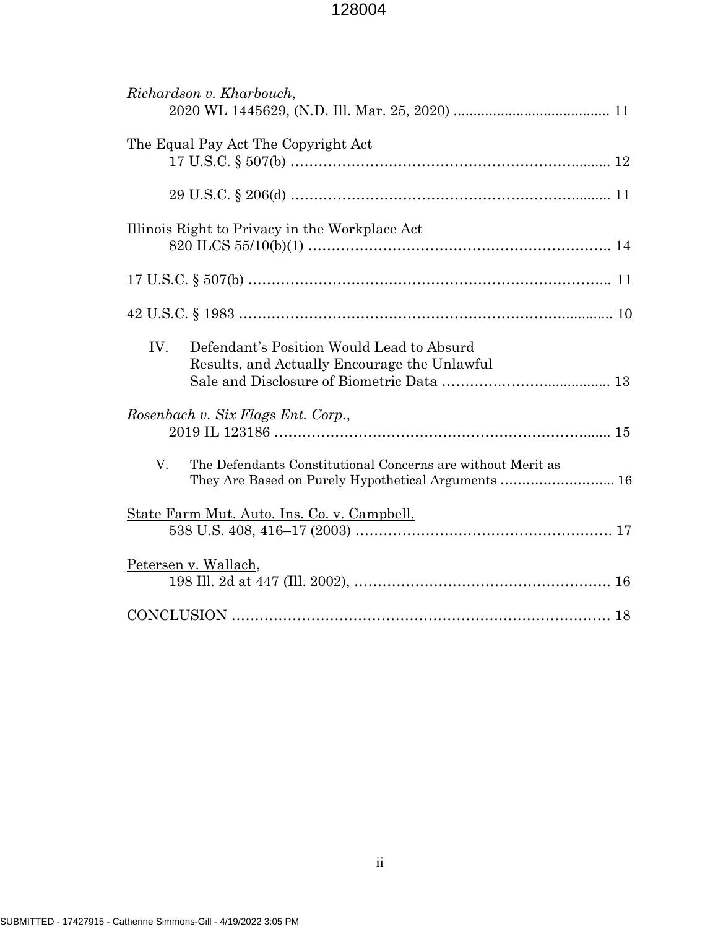| Richardson v. Kharbouch,                                                                         |
|--------------------------------------------------------------------------------------------------|
| The Equal Pay Act The Copyright Act                                                              |
|                                                                                                  |
| Illinois Right to Privacy in the Workplace Act                                                   |
|                                                                                                  |
|                                                                                                  |
| IV.<br>Defendant's Position Would Lead to Absurd<br>Results, and Actually Encourage the Unlawful |
| Rosenbach v. Six Flags Ent. Corp.,                                                               |
| The Defendants Constitutional Concerns are without Merit as<br>V.                                |
| State Farm Mut. Auto. Ins. Co. v. Campbell,                                                      |
| Petersen v. Wallach,                                                                             |
|                                                                                                  |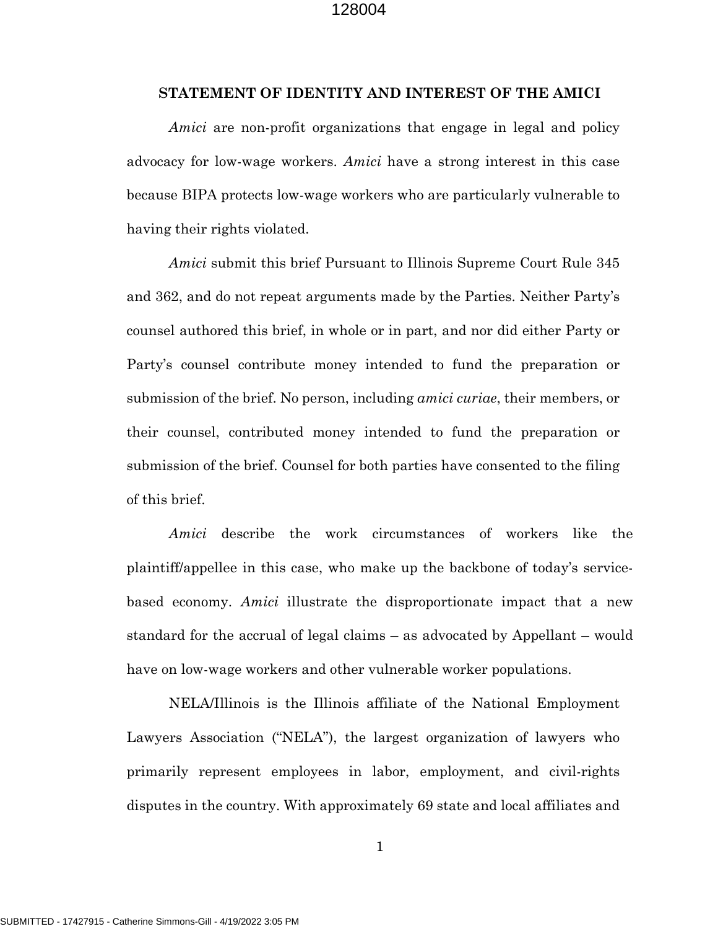#### **STATEMENT OF IDENTITY AND INTEREST OF THE AMICI**

*Amici* are non-profit organizations that engage in legal and policy advocacy for low-wage workers. *Amici* have a strong interest in this case because BIPA protects low-wage workers who are particularly vulnerable to having their rights violated.

*Amici* submit this brief Pursuant to Illinois Supreme Court Rule 345 and 362, and do not repeat arguments made by the Parties. Neither Party's counsel authored this brief, in whole or in part, and nor did either Party or Party's counsel contribute money intended to fund the preparation or submission of the brief. No person, including *amici curiae*, their members, or their counsel, contributed money intended to fund the preparation or submission of the brief. Counsel for both parties have consented to the filing of this brief.

*Amici* describe the work circumstances of workers like the plaintiff/appellee in this case, who make up the backbone of today's servicebased economy. *Amici* illustrate the disproportionate impact that a new standard for the accrual of legal claims – as advocated by Appellant – would have on low-wage workers and other vulnerable worker populations.

NELA/Illinois is the Illinois affiliate of the National Employment Lawyers Association ("NELA"), the largest organization of lawyers who primarily represent employees in labor, employment, and civil-rights disputes in the country. With approximately 69 state and local affiliates and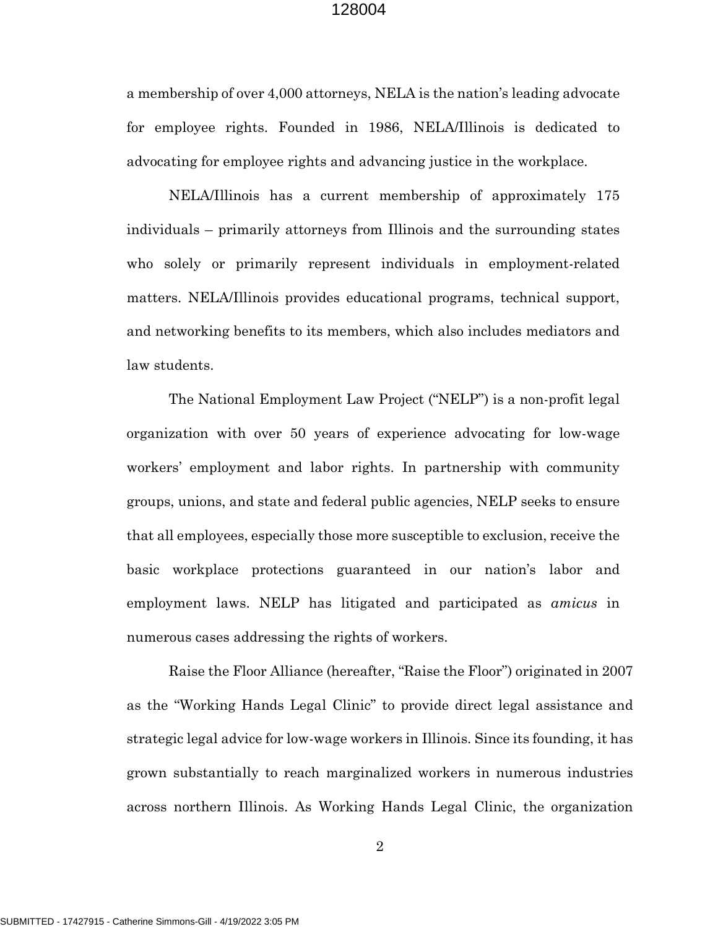a membership of over 4,000 attorneys, NELA is the nation's leading advocate for employee rights. Founded in 1986, NELA/Illinois is dedicated to advocating for employee rights and advancing justice in the workplace.

NELA/Illinois has a current membership of approximately 175 individuals – primarily attorneys from Illinois and the surrounding states who solely or primarily represent individuals in employment-related matters. NELA/Illinois provides educational programs, technical support, and networking benefits to its members, which also includes mediators and law students.

The National Employment Law Project ("NELP") is a non-profit legal organization with over 50 years of experience advocating for low-wage workers' employment and labor rights. In partnership with community groups, unions, and state and federal public agencies, NELP seeks to ensure that all employees, especially those more susceptible to exclusion, receive the basic workplace protections guaranteed in our nation's labor and employment laws. NELP has litigated and participated as *amicus* in numerous cases addressing the rights of workers.

Raise the Floor Alliance (hereafter, "Raise the Floor") originated in 2007 as the "Working Hands Legal Clinic" to provide direct legal assistance and strategic legal advice for low-wage workers in Illinois. Since its founding, it has grown substantially to reach marginalized workers in numerous industries across northern Illinois. As Working Hands Legal Clinic, the organization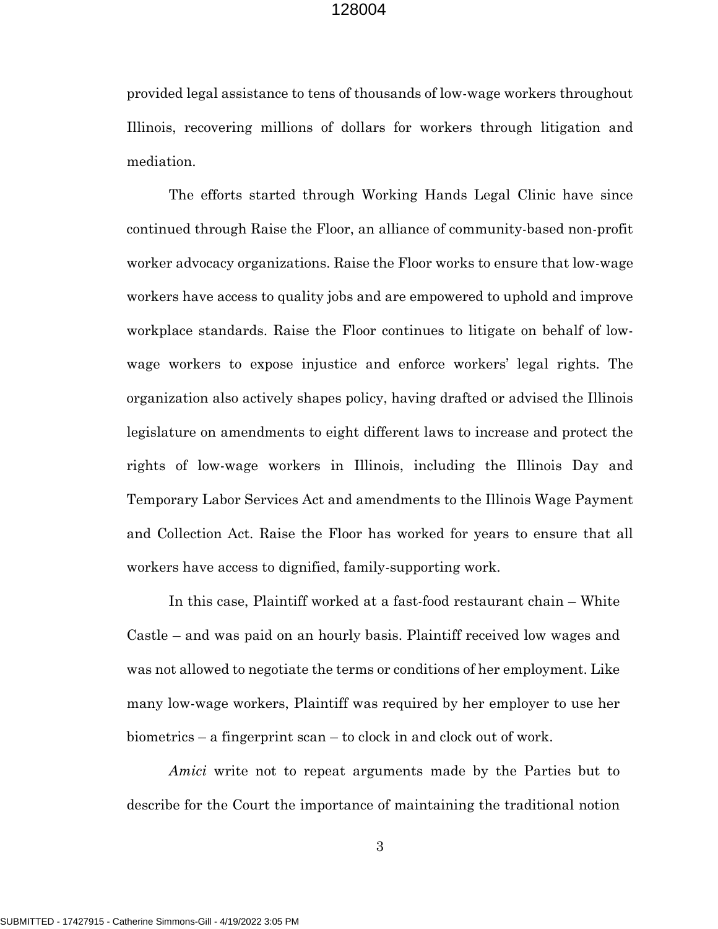provided legal assistance to tens of thousands of low-wage workers throughout Illinois, recovering millions of dollars for workers through litigation and mediation.

The efforts started through Working Hands Legal Clinic have since continued through Raise the Floor, an alliance of community-based non-profit worker advocacy organizations. Raise the Floor works to ensure that low-wage workers have access to quality jobs and are empowered to uphold and improve workplace standards. Raise the Floor continues to litigate on behalf of lowwage workers to expose injustice and enforce workers' legal rights. The organization also actively shapes policy, having drafted or advised the Illinois legislature on amendments to eight different laws to increase and protect the rights of low-wage workers in Illinois, including the Illinois Day and Temporary Labor Services Act and amendments to the Illinois Wage Payment and Collection Act. Raise the Floor has worked for years to ensure that all workers have access to dignified, family-supporting work.

In this case, Plaintiff worked at a fast-food restaurant chain – White Castle – and was paid on an hourly basis. Plaintiff received low wages and was not allowed to negotiate the terms or conditions of her employment. Like many low-wage workers, Plaintiff was required by her employer to use her biometrics – a fingerprint scan – to clock in and clock out of work.

*Amici* write not to repeat arguments made by the Parties but to describe for the Court the importance of maintaining the traditional notion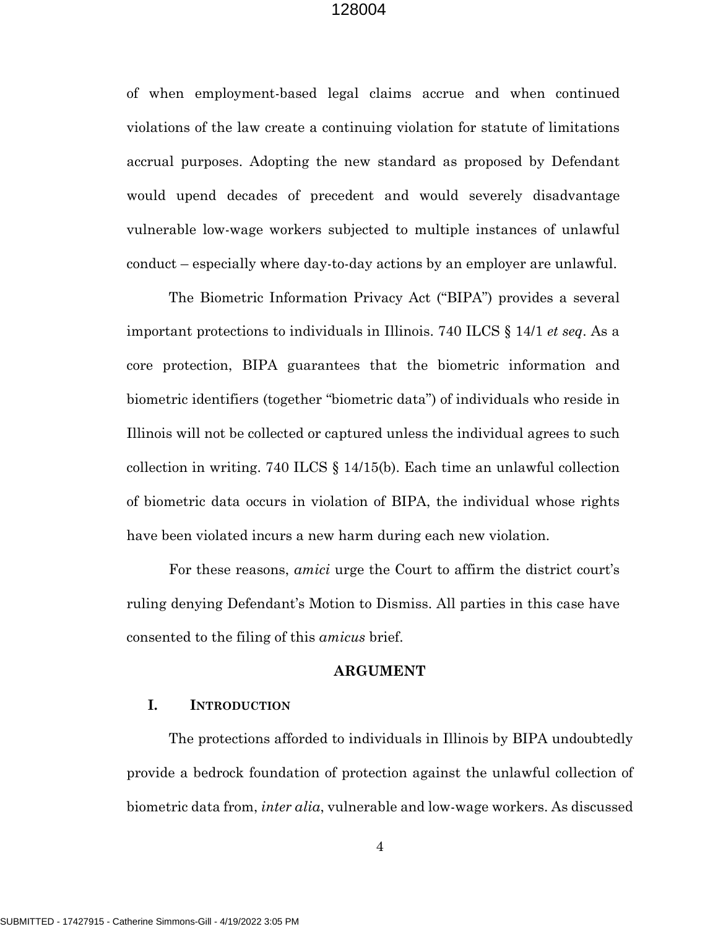of when employment-based legal claims accrue and when continued violations of the law create a continuing violation for statute of limitations accrual purposes. Adopting the new standard as proposed by Defendant would upend decades of precedent and would severely disadvantage vulnerable low-wage workers subjected to multiple instances of unlawful conduct – especially where day-to-day actions by an employer are unlawful.

The Biometric Information Privacy Act ("BIPA") provides a several important protections to individuals in Illinois. 740 ILCS § 14/1 *et seq*. As a core protection, BIPA guarantees that the biometric information and biometric identifiers (together "biometric data") of individuals who reside in Illinois will not be collected or captured unless the individual agrees to such collection in writing. 740 ILCS § 14/15(b). Each time an unlawful collection of biometric data occurs in violation of BIPA, the individual whose rights have been violated incurs a new harm during each new violation.

For these reasons, *amici* urge the Court to affirm the district court's ruling denying Defendant's Motion to Dismiss. All parties in this case have consented to the filing of this *amicus* brief.

#### **ARGUMENT**

## **I. INTRODUCTION**

The protections afforded to individuals in Illinois by BIPA undoubtedly provide a bedrock foundation of protection against the unlawful collection of biometric data from, *inter alia*, vulnerable and low-wage workers. As discussed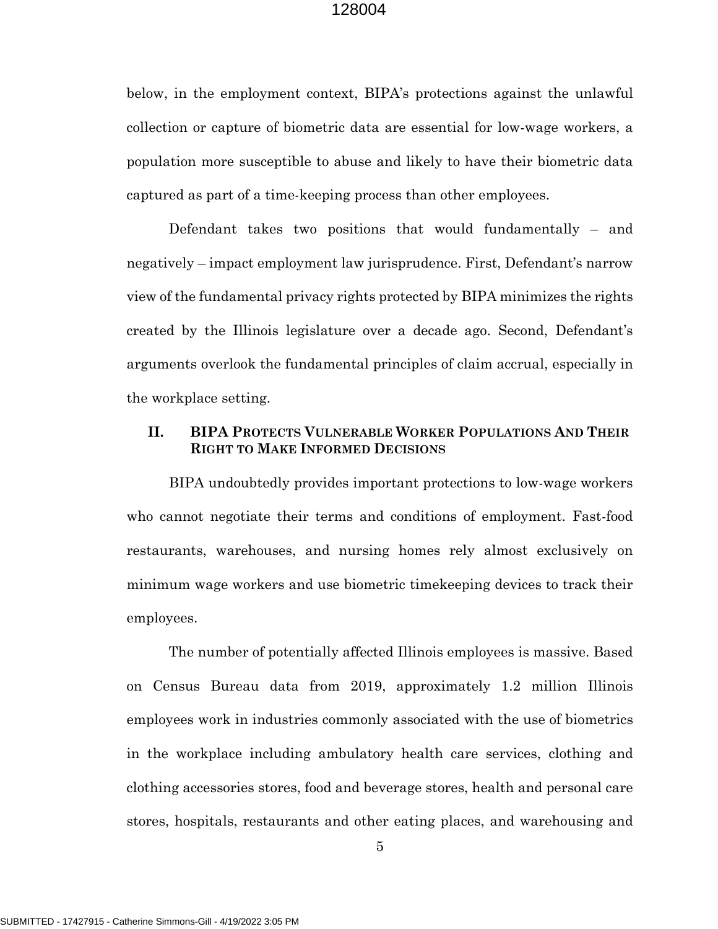below, in the employment context, BIPA's protections against the unlawful collection or capture of biometric data are essential for low-wage workers, a population more susceptible to abuse and likely to have their biometric data captured as part of a time-keeping process than other employees.

Defendant takes two positions that would fundamentally – and negatively – impact employment law jurisprudence. First, Defendant's narrow view of the fundamental privacy rights protected by BIPA minimizes the rights created by the Illinois legislature over a decade ago. Second, Defendant's arguments overlook the fundamental principles of claim accrual, especially in the workplace setting.

# **II. BIPA PROTECTS VULNERABLE WORKER POPULATIONS AND THEIR RIGHT TO MAKE INFORMED DECISIONS**

BIPA undoubtedly provides important protections to low-wage workers who cannot negotiate their terms and conditions of employment. Fast-food restaurants, warehouses, and nursing homes rely almost exclusively on minimum wage workers and use biometric timekeeping devices to track their employees.

The number of potentially affected Illinois employees is massive. Based on Census Bureau data from 2019, approximately 1.2 million Illinois employees work in industries commonly associated with the use of biometrics in the workplace including ambulatory health care services, clothing and clothing accessories stores, food and beverage stores, health and personal care stores, hospitals, restaurants and other eating places, and warehousing and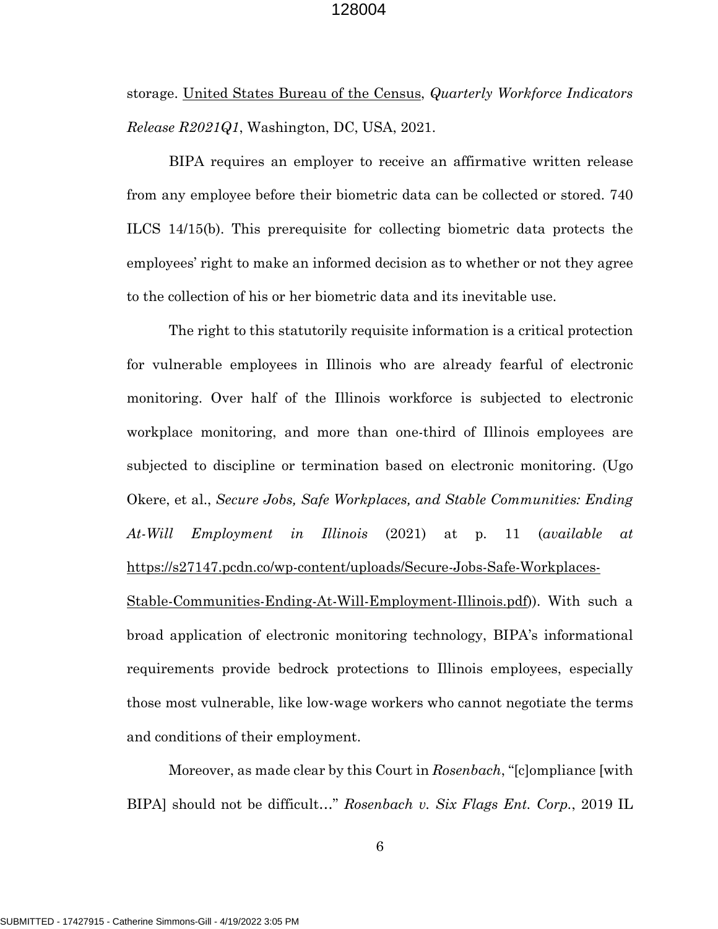storage. United States Bureau of the Census, *Quarterly Workforce Indicators Release R2021Q1*, Washington, DC, USA, 2021.

BIPA requires an employer to receive an affirmative written release from any employee before their biometric data can be collected or stored. 740 ILCS 14/15(b). This prerequisite for collecting biometric data protects the employees' right to make an informed decision as to whether or not they agree to the collection of his or her biometric data and its inevitable use.

The right to this statutorily requisite information is a critical protection for vulnerable employees in Illinois who are already fearful of electronic monitoring. Over half of the Illinois workforce is subjected to electronic workplace monitoring, and more than one-third of Illinois employees are subjected to discipline or termination based on electronic monitoring. (Ugo Okere, et al., *Secure Jobs, Safe Workplaces, and Stable Communities: Ending At-Will Employment in Illinois* (2021) at p. 11 (*available at* [https://s27147.pcdn.co/wp-content/uploads/Secure-Jobs-Safe-Workplaces-](https://s27147.pcdn.co/wp-content/uploads/Secure-Jobs-Safe-Workplaces-Stable-Communities-Ending-At-Will-Employment-Illinois.pdf)

[Stable-Communities-Ending-At-Will-Employment-Illinois.pdf\)](https://s27147.pcdn.co/wp-content/uploads/Secure-Jobs-Safe-Workplaces-Stable-Communities-Ending-At-Will-Employment-Illinois.pdf)). With such a broad application of electronic monitoring technology, BIPA's informational requirements provide bedrock protections to Illinois employees, especially those most vulnerable, like low-wage workers who cannot negotiate the terms and conditions of their employment.

Moreover, as made clear by this Court in *Rosenbach*, "[c]ompliance [with BIPA] should not be difficult…" *Rosenbach v. Six Flags Ent. Corp.*, 2019 IL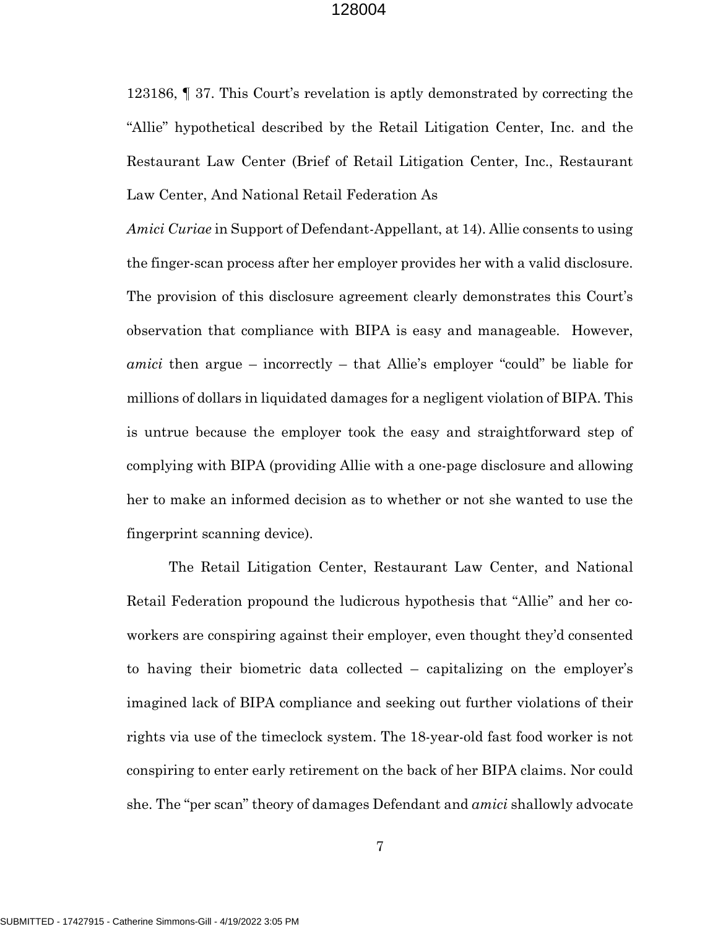123186, ¶ 37. This Court's revelation is aptly demonstrated by correcting the "Allie" hypothetical described by the Retail Litigation Center, Inc. and the Restaurant Law Center (Brief of Retail Litigation Center, Inc., Restaurant Law Center, And National Retail Federation As

*Amici Curiae* in Support of Defendant-Appellant, at 14). Allie consents to using the finger-scan process after her employer provides her with a valid disclosure. The provision of this disclosure agreement clearly demonstrates this Court's observation that compliance with BIPA is easy and manageable. However, *amici* then argue – incorrectly – that Allie's employer "could" be liable for millions of dollars in liquidated damages for a negligent violation of BIPA. This is untrue because the employer took the easy and straightforward step of complying with BIPA (providing Allie with a one-page disclosure and allowing her to make an informed decision as to whether or not she wanted to use the fingerprint scanning device).

The Retail Litigation Center, Restaurant Law Center, and National Retail Federation propound the ludicrous hypothesis that "Allie" and her coworkers are conspiring against their employer, even thought they'd consented to having their biometric data collected – capitalizing on the employer's imagined lack of BIPA compliance and seeking out further violations of their rights via use of the timeclock system. The 18-year-old fast food worker is not conspiring to enter early retirement on the back of her BIPA claims. Nor could she. The "per scan" theory of damages Defendant and *amici* shallowly advocate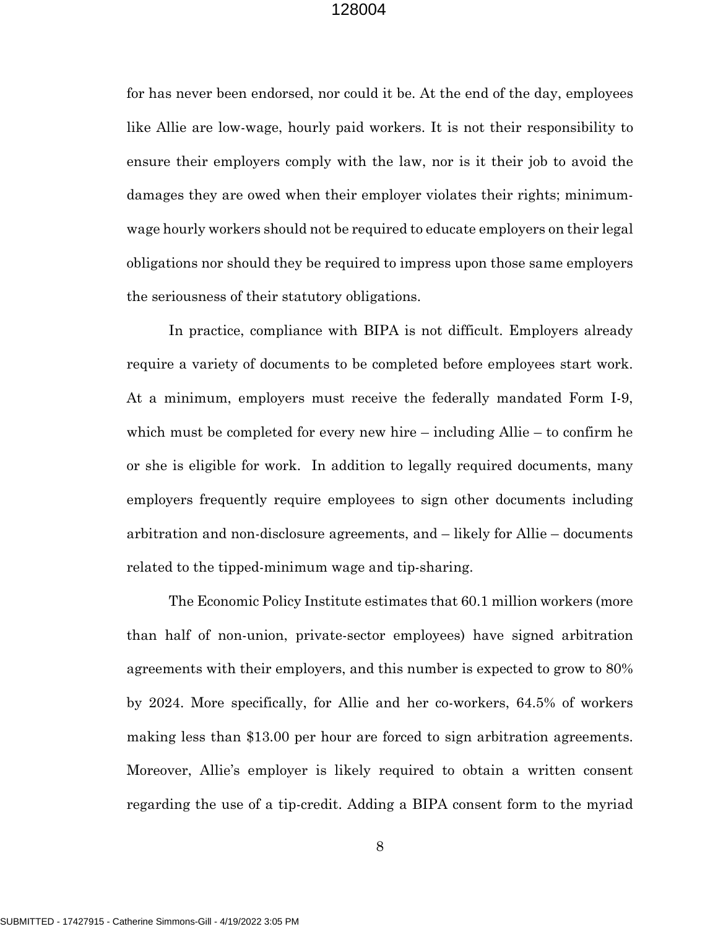for has never been endorsed, nor could it be. At the end of the day, employees like Allie are low-wage, hourly paid workers. It is not their responsibility to ensure their employers comply with the law, nor is it their job to avoid the damages they are owed when their employer violates their rights; minimumwage hourly workers should not be required to educate employers on their legal obligations nor should they be required to impress upon those same employers the seriousness of their statutory obligations.

In practice, compliance with BIPA is not difficult. Employers already require a variety of documents to be completed before employees start work. At a minimum, employers must receive the federally mandated Form I-9, which must be completed for every new hire – including Allie – to confirm he or she is eligible for work. In addition to legally required documents, many employers frequently require employees to sign other documents including arbitration and non-disclosure agreements, and – likely for Allie – documents related to the tipped-minimum wage and tip-sharing.

The Economic Policy Institute estimates that 60.1 million workers (more than half of non-union, private-sector employees) have signed arbitration agreements with their employers, and this number is expected to grow to 80% by 2024. More specifically, for Allie and her co-workers, 64.5% of workers making less than \$13.00 per hour are forced to sign arbitration agreements. Moreover, Allie's employer is likely required to obtain a written consent regarding the use of a tip-credit. Adding a BIPA consent form to the myriad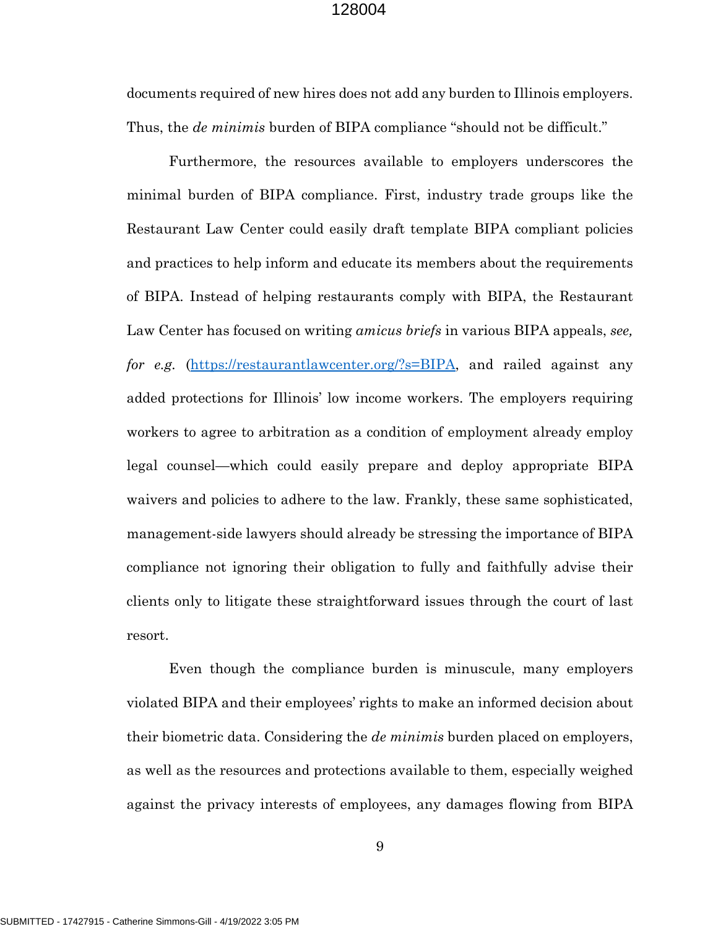documents required of new hires does not add any burden to Illinois employers. Thus, the *de minimis* burden of BIPA compliance "should not be difficult."

Furthermore, the resources available to employers underscores the minimal burden of BIPA compliance. First, industry trade groups like the Restaurant Law Center could easily draft template BIPA compliant policies and practices to help inform and educate its members about the requirements of BIPA. Instead of helping restaurants comply with BIPA, the Restaurant Law Center has focused on writing *amicus briefs* in various BIPA appeals, *see, for e.g.* [\(https://restaurantlawcenter.org/?s=BIPA,](https://restaurantlawcenter.org/?s=BIPA) and railed against any added protections for Illinois' low income workers. The employers requiring workers to agree to arbitration as a condition of employment already employ legal counsel—which could easily prepare and deploy appropriate BIPA waivers and policies to adhere to the law. Frankly, these same sophisticated, management-side lawyers should already be stressing the importance of BIPA compliance not ignoring their obligation to fully and faithfully advise their clients only to litigate these straightforward issues through the court of last resort.

Even though the compliance burden is minuscule, many employers violated BIPA and their employees' rights to make an informed decision about their biometric data. Considering the *de minimis* burden placed on employers, as well as the resources and protections available to them, especially weighed against the privacy interests of employees, any damages flowing from BIPA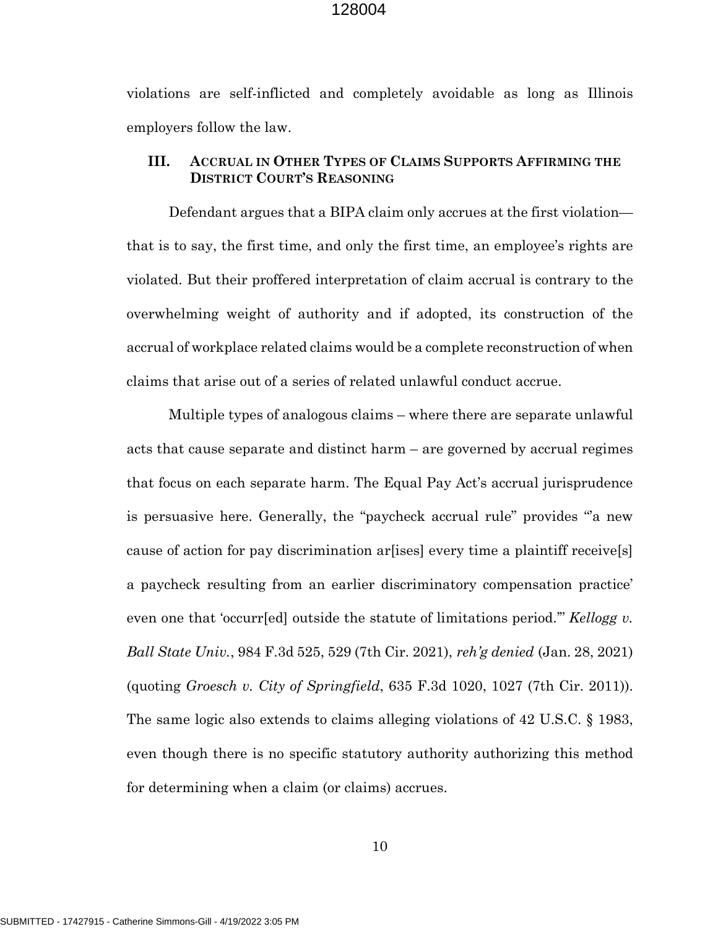violations are self-inflicted and completely avoidable as long as Illinois employers follow the law.

## **III. ACCRUAL IN OTHER TYPES OF CLAIMS SUPPORTS AFFIRMING THE DISTRICT COURT'S REASONING**

Defendant argues that a BIPA claim only accrues at the first violation that is to say, the first time, and only the first time, an employee's rights are violated. But their proffered interpretation of claim accrual is contrary to the overwhelming weight of authority and if adopted, its construction of the accrual of workplace related claims would be a complete reconstruction of when claims that arise out of a series of related unlawful conduct accrue.

Multiple types of analogous claims – where there are separate unlawful acts that cause separate and distinct harm – are governed by accrual regimes that focus on each separate harm. The Equal Pay Act's accrual jurisprudence is persuasive here. Generally, the "paycheck accrual rule" provides "a new cause of action for pay discrimination ar[ises] every time a plaintiff receive[s] a paycheck resulting from an earlier discriminatory compensation practice' even one that 'occurr[ed] outside the statute of limitations period.'" *Kellogg v. Ball State Univ.*, 984 F.3d 525, 529 (7th Cir. 2021), *reh'g denied* (Jan. 28, 2021) (quoting *Groesch v. City of Springfield*, 635 F.3d 1020, 1027 (7th Cir. 2011)). The same logic also extends to claims alleging violations of 42 U.S.C. § 1983, even though there is no specific statutory authority authorizing this method for determining when a claim (or claims) accrues.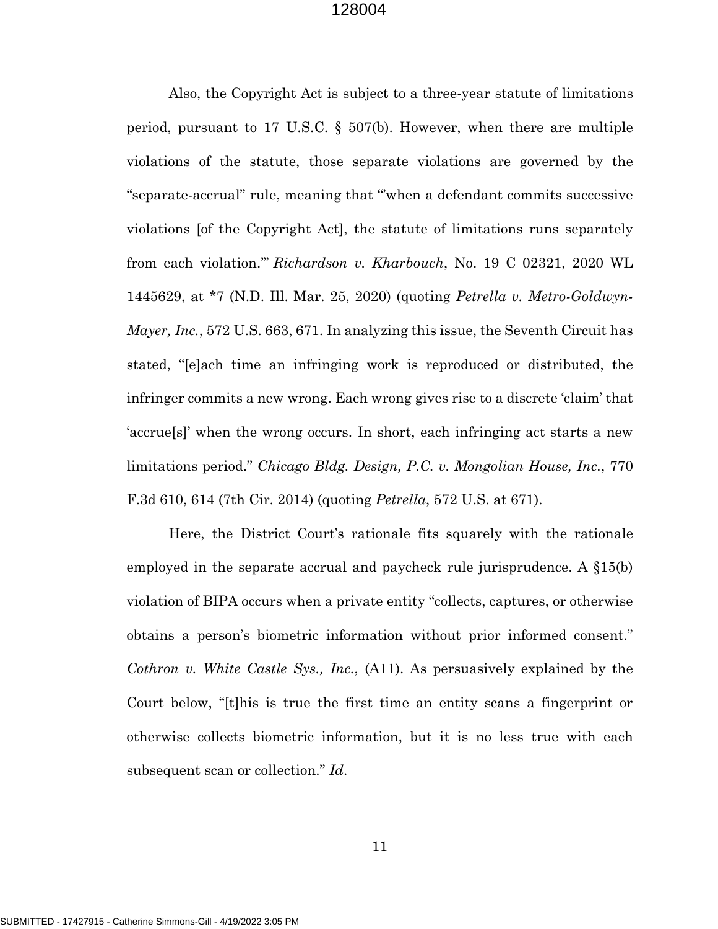Also, the Copyright Act is subject to a three-year statute of limitations period, pursuant to 17 U.S.C. § 507(b). However, when there are multiple violations of the statute, those separate violations are governed by the "separate-accrual" rule, meaning that "'when a defendant commits successive violations [of the Copyright Act], the statute of limitations runs separately from each violation.'" *Richardson v. Kharbouch*, No. 19 C 02321, 2020 WL 1445629, at \*7 (N.D. Ill. Mar. 25, 2020) (quoting *Petrella v. Metro-Goldwyn-Mayer, Inc.*, 572 U.S. 663, 671. In analyzing this issue, the Seventh Circuit has stated, "[e]ach time an infringing work is reproduced or distributed, the infringer commits a new wrong. Each wrong gives rise to a discrete 'claim' that 'accrue[s]' when the wrong occurs. In short, each infringing act starts a new limitations period." *Chicago Bldg. Design, P.C. v. Mongolian House, Inc.*, 770 F.3d 610, 614 (7th Cir. 2014) (quoting *Petrella*, 572 U.S. at 671).

Here, the District Court's rationale fits squarely with the rationale employed in the separate accrual and paycheck rule jurisprudence. A §15(b) violation of BIPA occurs when a private entity "collects, captures, or otherwise obtains a person's biometric information without prior informed consent." *Cothron v. White Castle Sys., Inc.*, (A11). As persuasively explained by the Court below, "[t]his is true the first time an entity scans a fingerprint or otherwise collects biometric information, but it is no less true with each subsequent scan or collection." *Id*.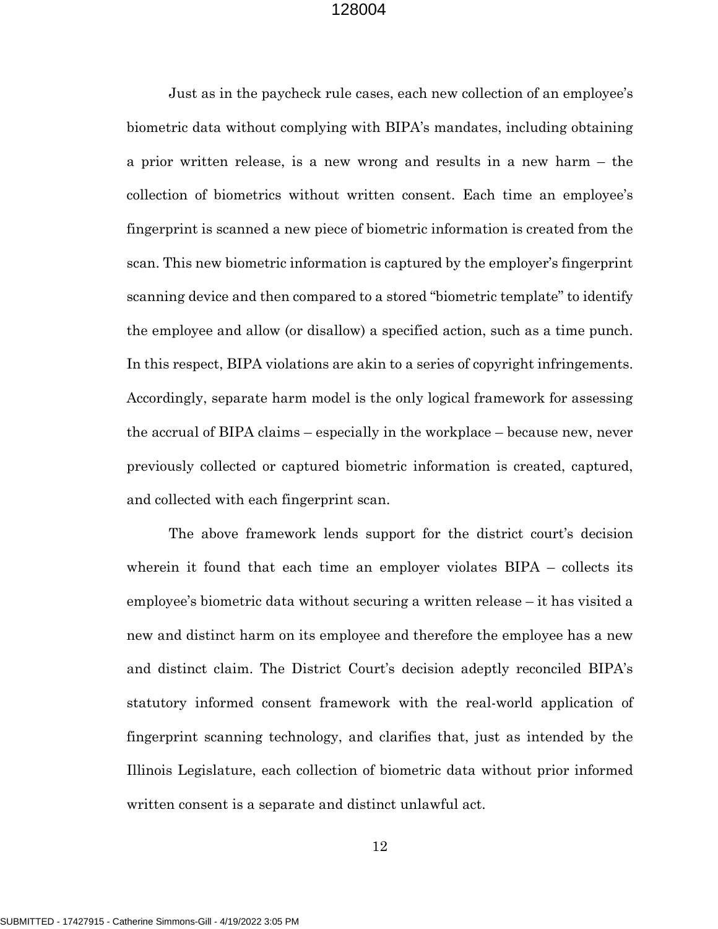Just as in the paycheck rule cases, each new collection of an employee's biometric data without complying with BIPA's mandates, including obtaining a prior written release, is a new wrong and results in a new harm – the collection of biometrics without written consent. Each time an employee's fingerprint is scanned a new piece of biometric information is created from the scan. This new biometric information is captured by the employer's fingerprint scanning device and then compared to a stored "biometric template" to identify the employee and allow (or disallow) a specified action, such as a time punch. In this respect, BIPA violations are akin to a series of copyright infringements. Accordingly, separate harm model is the only logical framework for assessing the accrual of BIPA claims – especially in the workplace – because new, never previously collected or captured biometric information is created, captured, and collected with each fingerprint scan.

The above framework lends support for the district court's decision wherein it found that each time an employer violates BIPA – collects its employee's biometric data without securing a written release – it has visited a new and distinct harm on its employee and therefore the employee has a new and distinct claim. The District Court's decision adeptly reconciled BIPA's statutory informed consent framework with the real-world application of fingerprint scanning technology, and clarifies that, just as intended by the Illinois Legislature, each collection of biometric data without prior informed written consent is a separate and distinct unlawful act.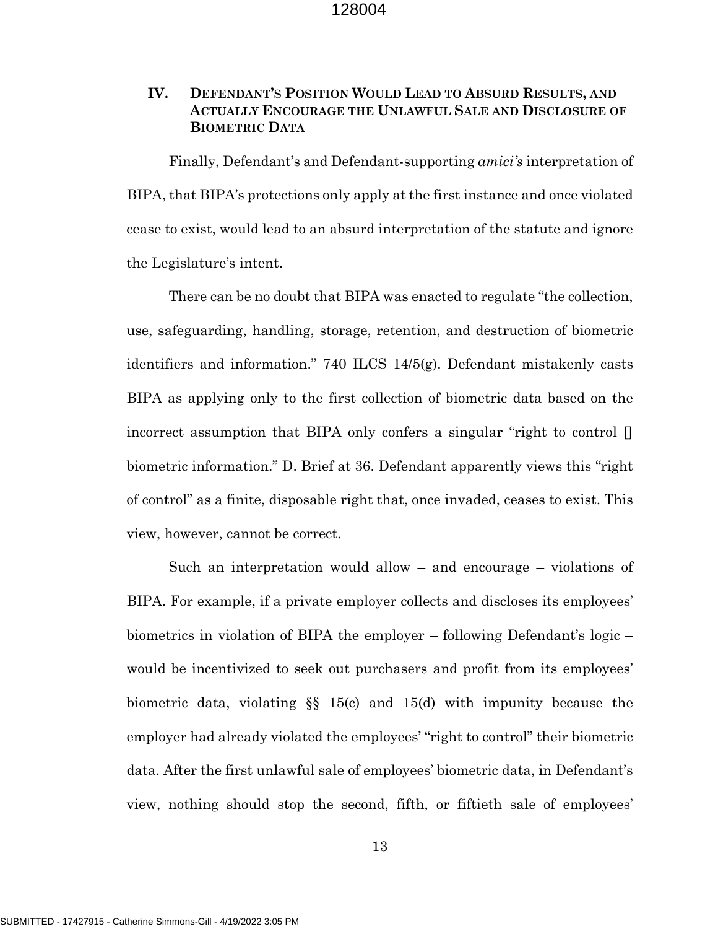# **IV. DEFENDANT'S POSITION WOULD LEAD TO ABSURD RESULTS, AND ACTUALLY ENCOURAGE THE UNLAWFUL SALE AND DISCLOSURE OF BIOMETRIC DATA**

Finally, Defendant's and Defendant-supporting *amici's* interpretation of BIPA, that BIPA's protections only apply at the first instance and once violated cease to exist, would lead to an absurd interpretation of the statute and ignore the Legislature's intent.

There can be no doubt that BIPA was enacted to regulate "the collection, use, safeguarding, handling, storage, retention, and destruction of biometric identifiers and information." 740 ILCS 14/5(g). Defendant mistakenly casts BIPA as applying only to the first collection of biometric data based on the incorrect assumption that BIPA only confers a singular "right to control [] biometric information." D. Brief at 36. Defendant apparently views this "right of control" as a finite, disposable right that, once invaded, ceases to exist. This view, however, cannot be correct.

Such an interpretation would allow – and encourage – violations of BIPA. For example, if a private employer collects and discloses its employees' biometrics in violation of BIPA the employer – following Defendant's logic – would be incentivized to seek out purchasers and profit from its employees' biometric data, violating §§ 15(c) and 15(d) with impunity because the employer had already violated the employees' "right to control" their biometric data. After the first unlawful sale of employees' biometric data, in Defendant's view, nothing should stop the second, fifth, or fiftieth sale of employees'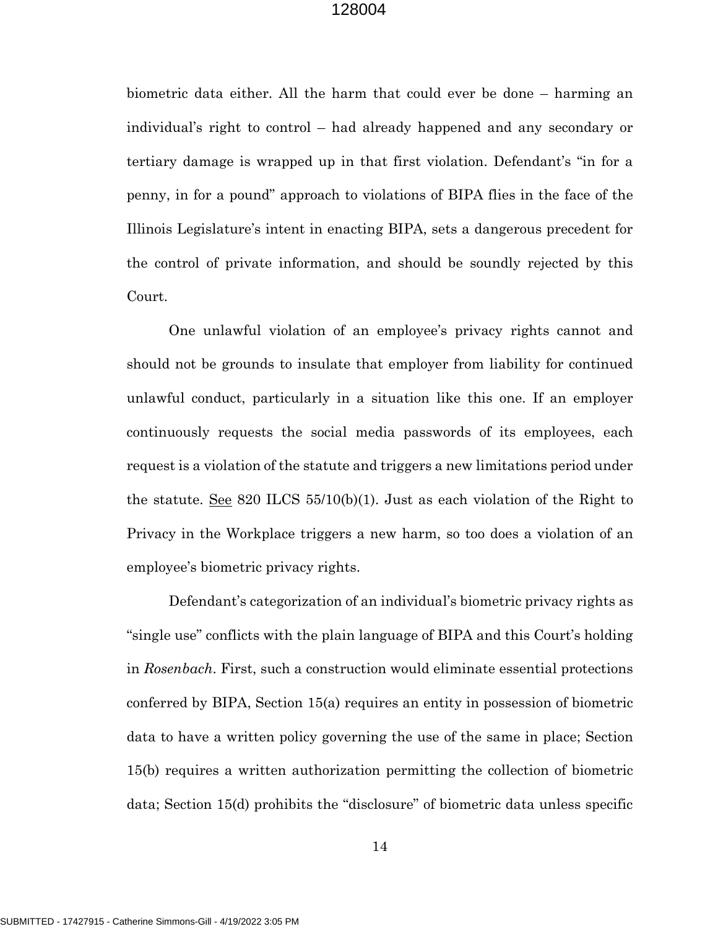biometric data either. All the harm that could ever be done – harming an individual's right to control – had already happened and any secondary or tertiary damage is wrapped up in that first violation. Defendant's "in for a penny, in for a pound" approach to violations of BIPA flies in the face of the Illinois Legislature's intent in enacting BIPA, sets a dangerous precedent for the control of private information, and should be soundly rejected by this Court.

One unlawful violation of an employee's privacy rights cannot and should not be grounds to insulate that employer from liability for continued unlawful conduct, particularly in a situation like this one. If an employer continuously requests the social media passwords of its employees, each request is a violation of the statute and triggers a new limitations period under the statute. See 820 ILCS  $55/10(b)(1)$ . Just as each violation of the Right to Privacy in the Workplace triggers a new harm, so too does a violation of an employee's biometric privacy rights.

Defendant's categorization of an individual's biometric privacy rights as "single use" conflicts with the plain language of BIPA and this Court's holding in *Rosenbach*. First, such a construction would eliminate essential protections conferred by BIPA, Section 15(a) requires an entity in possession of biometric data to have a written policy governing the use of the same in place; Section 15(b) requires a written authorization permitting the collection of biometric data; Section 15(d) prohibits the "disclosure" of biometric data unless specific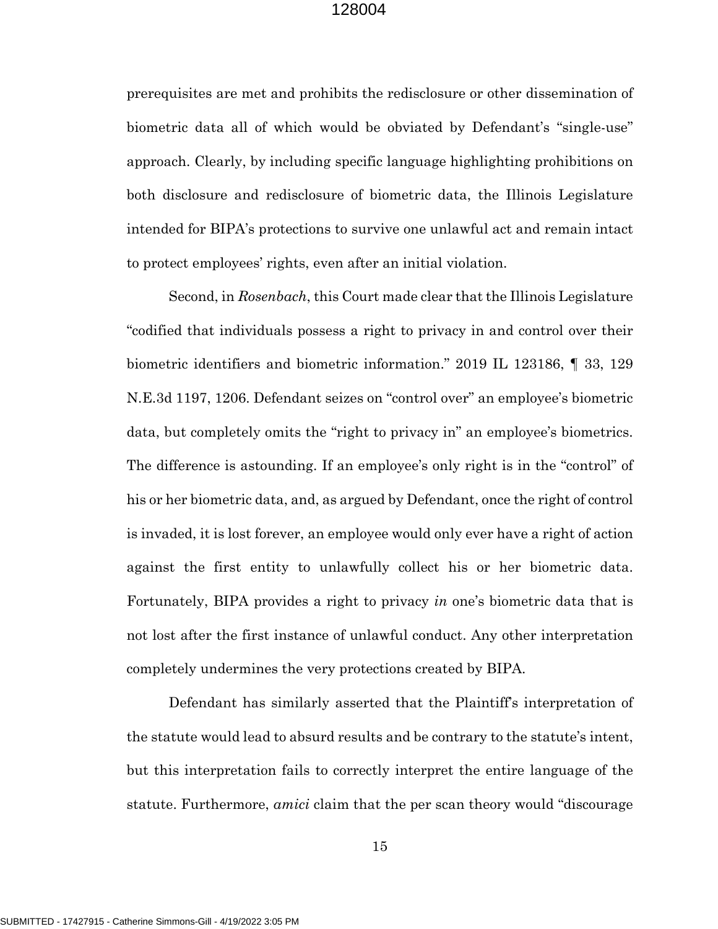prerequisites are met and prohibits the redisclosure or other dissemination of biometric data all of which would be obviated by Defendant's "single-use" approach. Clearly, by including specific language highlighting prohibitions on both disclosure and redisclosure of biometric data, the Illinois Legislature intended for BIPA's protections to survive one unlawful act and remain intact to protect employees' rights, even after an initial violation.

Second, in *Rosenbach*, this Court made clear that the Illinois Legislature "codified that individuals possess a right to privacy in and control over their biometric identifiers and biometric information." 2019 IL 123186, ¶ 33, 129 N.E.3d 1197, 1206. Defendant seizes on "control over" an employee's biometric data, but completely omits the "right to privacy in" an employee's biometrics. The difference is astounding. If an employee's only right is in the "control" of his or her biometric data, and, as argued by Defendant, once the right of control is invaded, it is lost forever, an employee would only ever have a right of action against the first entity to unlawfully collect his or her biometric data. Fortunately, BIPA provides a right to privacy *in* one's biometric data that is not lost after the first instance of unlawful conduct. Any other interpretation completely undermines the very protections created by BIPA.

Defendant has similarly asserted that the Plaintiff's interpretation of the statute would lead to absurd results and be contrary to the statute's intent, but this interpretation fails to correctly interpret the entire language of the statute. Furthermore, *amici* claim that the per scan theory would "discourage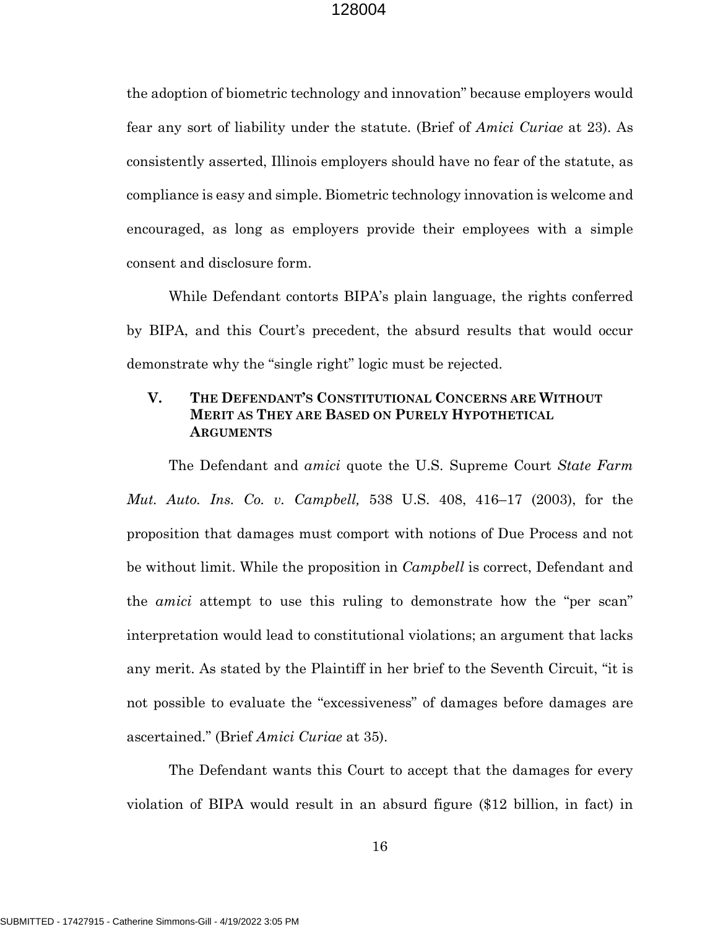the adoption of biometric technology and innovation" because employers would fear any sort of liability under the statute. (Brief of *Amici Curiae* at 23). As consistently asserted, Illinois employers should have no fear of the statute, as compliance is easy and simple. Biometric technology innovation is welcome and encouraged, as long as employers provide their employees with a simple consent and disclosure form.

While Defendant contorts BIPA's plain language, the rights conferred by BIPA, and this Court's precedent, the absurd results that would occur demonstrate why the "single right" logic must be rejected.

## **V. THE DEFENDANT'S CONSTITUTIONAL CONCERNS ARE WITHOUT MERIT AS THEY ARE BASED ON PURELY HYPOTHETICAL ARGUMENTS**

The Defendant and *amici* quote the U.S. Supreme Court *State Farm Mut. Auto. Ins. Co. v. Campbell,* 538 U.S. 408, 416–17 (2003), for the proposition that damages must comport with notions of Due Process and not be without limit. While the proposition in *Campbell* is correct, Defendant and the *amici* attempt to use this ruling to demonstrate how the "per scan" interpretation would lead to constitutional violations; an argument that lacks any merit. As stated by the Plaintiff in her brief to the Seventh Circuit, "it is not possible to evaluate the "excessiveness" of damages before damages are ascertained." (Brief *Amici Curiae* at 35).

The Defendant wants this Court to accept that the damages for every violation of BIPA would result in an absurd figure (\$12 billion, in fact) in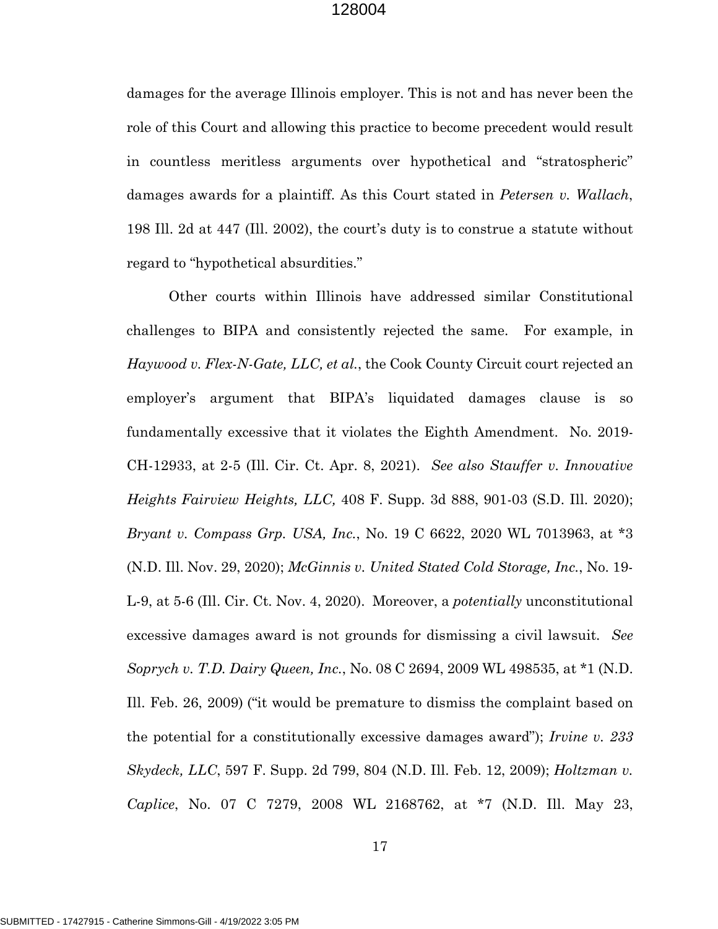damages for the average Illinois employer. This is not and has never been the role of this Court and allowing this practice to become precedent would result in countless meritless arguments over hypothetical and "stratospheric" damages awards for a plaintiff. As this Court stated in *Petersen v. Wallach*, 198 Ill. 2d at 447 (Ill. 2002), the court's duty is to construe a statute without regard to "hypothetical absurdities."

Other courts within Illinois have addressed similar Constitutional challenges to BIPA and consistently rejected the same. For example, in *Haywood v. Flex-N-Gate, LLC, et al.*, the Cook County Circuit court rejected an employer's argument that BIPA's liquidated damages clause is so fundamentally excessive that it violates the Eighth Amendment. No. 2019- CH-12933, at 2-5 (Ill. Cir. Ct. Apr. 8, 2021). *See also Stauffer v. Innovative Heights Fairview Heights, LLC,* 408 F. Supp. 3d 888, 901-03 (S.D. Ill. 2020); *Bryant v. Compass Grp. USA, Inc.*, No. 19 C 6622, 2020 WL 7013963, at \*3 (N.D. Ill. Nov. 29, 2020); *McGinnis v. United Stated Cold Storage, Inc.*, No. 19- L-9, at 5-6 (Ill. Cir. Ct. Nov. 4, 2020). Moreover, a *potentially* unconstitutional excessive damages award is not grounds for dismissing a civil lawsuit. *See Soprych v. T.D. Dairy Queen, Inc.*, No. 08 C 2694, 2009 WL 498535, at \*1 (N.D. Ill. Feb. 26, 2009) ("it would be premature to dismiss the complaint based on the potential for a constitutionally excessive damages award"); *Irvine v. 233 Skydeck, LLC*, 597 F. Supp. 2d 799, 804 (N.D. Ill. Feb. 12, 2009); *Holtzman v. Caplice*, No. 07 C 7279, 2008 WL 2168762, at \*7 (N.D. Ill. May 23,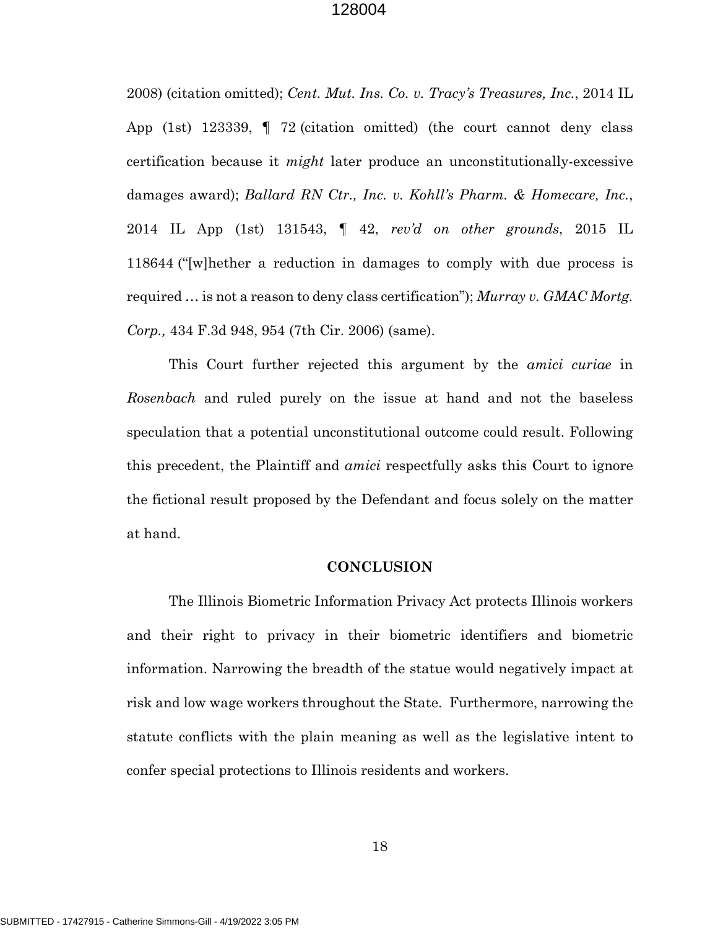2008) (citation omitted); *Cent. Mut. Ins. Co. v. Tracy's Treasures, Inc.*, 2014 IL App (1st) 123339, ¶ 72 (citation omitted) (the court cannot deny class certification because it *might* later produce an unconstitutionally-excessive damages award); *Ballard RN Ctr., Inc. v. Kohll's Pharm. & Homecare, Inc.*, 2014 IL App (1st) 131543, ¶ 42, *rev'd on other grounds*, 2015 IL 118644 ("[w]hether a reduction in damages to comply with due process is required … is not a reason to deny class certification"); *Murray v. GMAC Mortg. Corp.,* 434 F.3d 948, 954 (7th Cir. 2006) (same).

This Court further rejected this argument by the *amici curiae* in *Rosenbach* and ruled purely on the issue at hand and not the baseless speculation that a potential unconstitutional outcome could result. Following this precedent, the Plaintiff and *amici* respectfully asks this Court to ignore the fictional result proposed by the Defendant and focus solely on the matter at hand.

#### **CONCLUSION**

The Illinois Biometric Information Privacy Act protects Illinois workers and their right to privacy in their biometric identifiers and biometric information. Narrowing the breadth of the statue would negatively impact at risk and low wage workers throughout the State. Furthermore, narrowing the statute conflicts with the plain meaning as well as the legislative intent to confer special protections to Illinois residents and workers.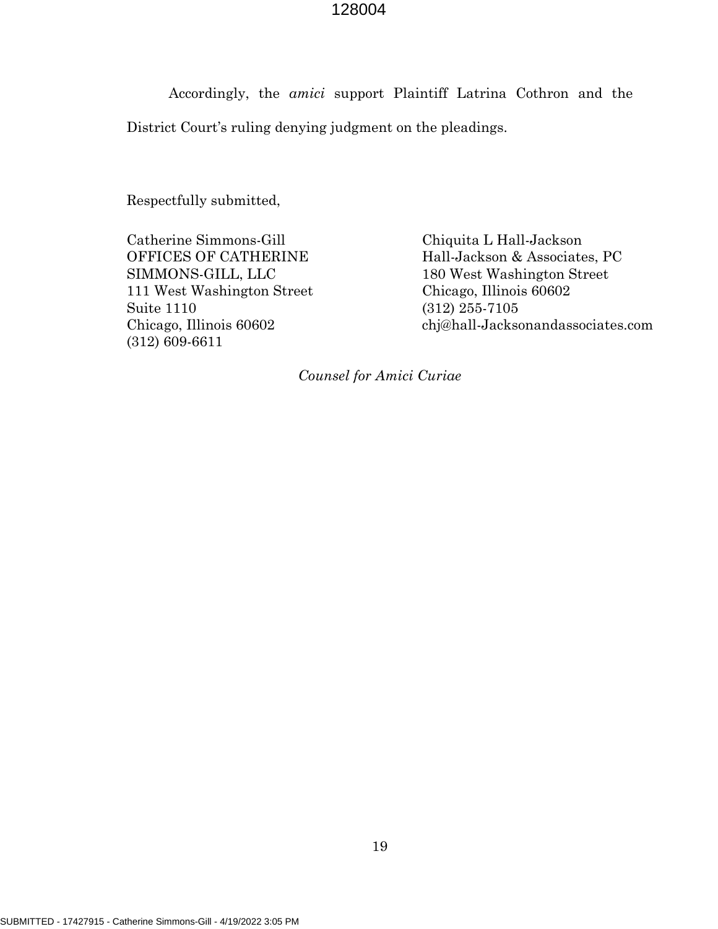Accordingly, the *amici* support Plaintiff Latrina Cothron and the District Court's ruling denying judgment on the pleadings.

Respectfully submitted,

Catherine Simmons-Gill Chiquita L Hall-Jackson 111 West Washington Street Chicago, Illinois 60602 Suite 1110 (312) 255-7105 (312) 609-6611

OFFICES OF CATHERINE Hall-Jackson & Associates, PC SIMMONS-GILL, LLC 180 West Washington Street Chicago, Illinois 60602 chj@hall-Jacksonandassociates.com

*Counsel for Amici Curiae*